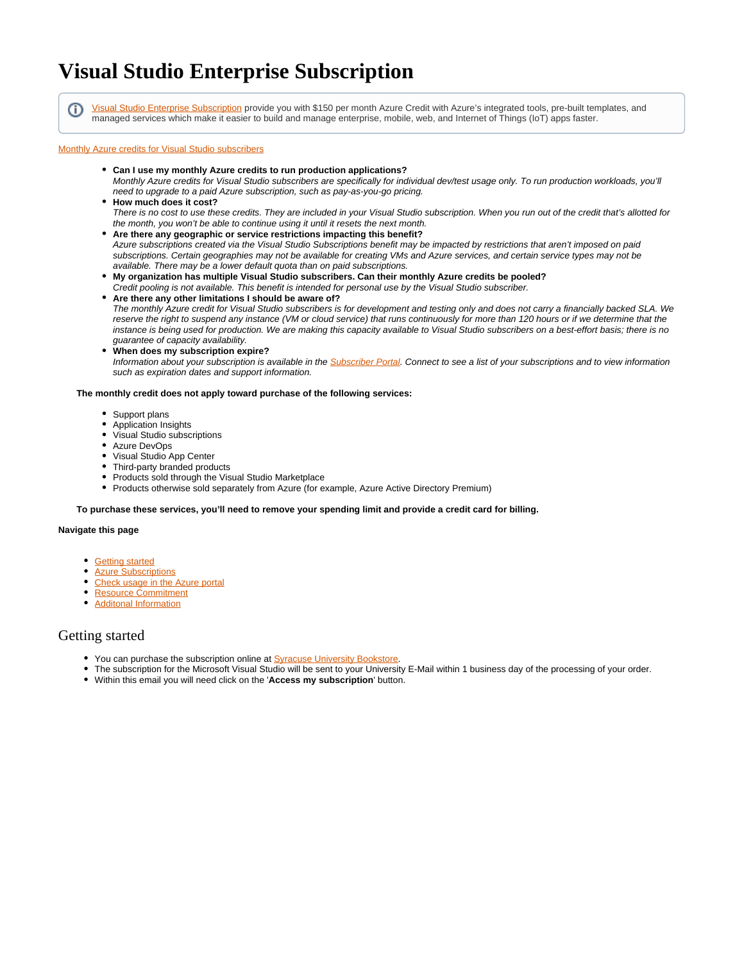# **Visual Studio Enterprise Subscription**

(ï)

[Visual Studio Enterprise Subscription](https://visualstudio.microsoft.com/subscriptions/) provide you with \$150 per month Azure Credit with Azure's integrated tools, pre-built templates, and managed services which make it easier to build and manage enterprise, mobile, web, and Internet of Things (IoT) apps faster.

### [Monthly Azure credits for Visual Studio subscribers](https://azure.microsoft.com/en-us/pricing/member-offers/credit-for-visual-studio-subscribers/)

- **Can I use my monthly Azure credits to run production applications?** Monthly Azure credits for Visual Studio subscribers are specifically for individual dev/test usage only. To run production workloads, you'll need to upgrade to a paid Azure subscription, such as pay-as-you-go pricing.
- **How much does it cost?** There is no cost to use these credits. They are included in your Visual Studio subscription. When you run out of the credit that's allotted for the month, you won't be able to continue using it until it resets the next month.
- **Are there any geographic or service restrictions impacting this benefit?**

Azure subscriptions created via the Visual Studio Subscriptions benefit may be impacted by restrictions that aren't imposed on paid subscriptions. Certain geographies may not be available for creating VMs and Azure services, and certain service types may not be available. There may be a lower default quota than on paid subscriptions.

**My organization has multiple Visual Studio subscribers. Can their monthly Azure credits be pooled?** Credit pooling is not available. This benefit is intended for personal use by the Visual Studio subscriber.

**Are there any other limitations I should be aware of?** The monthly Azure credit for Visual Studio subscribers is for development and testing only and does not carry a financially backed SLA. We reserve the right to suspend any instance (VM or cloud service) that runs continuously for more than 120 hours or if we determine that the instance is being used for production. We are making this capacity available to Visual Studio subscribers on a best-effort basis; there is no guarantee of capacity availability.

**When does my subscription expire?**

Information about your subscription is available in the **[Subscriber Portal](https://my.visualstudio.com/subscriptions)**. Connect to see a list of your subscriptions and to view information such as expiration dates and support information.

### **The monthly credit does not apply toward purchase of the following services:**

- Support plans
- Application Insights
- Visual Studio subscriptions
- Azure DevOps
- Visual Studio App Center
- Third-party branded products
- Products sold through the Visual Studio Marketplace
- Products otherwise sold separately from Azure (for example, Azure Active Directory Premium)

### **To purchase these services, you'll need to remove your spending limit and provide a credit card for billing.**

#### **Navigate this page**

- **[Getting started](#page-0-0)**
- **[Azure Subscriptions](#page-1-0)**
- [Check usage in the Azure portal](#page-2-0)
- [Resource Commitment](#page-2-1)
- [Additonal Information](#page-2-2)

### <span id="page-0-0"></span>Getting started

- You can purchase the subscription online at **Syracuse University Bookstore**.
- The subscription for the Microsoft Visual Studio will be sent to your University E-Mail within 1 business day of the processing of your order.
- Within this email you will need click on the '**Access my subscription**' button.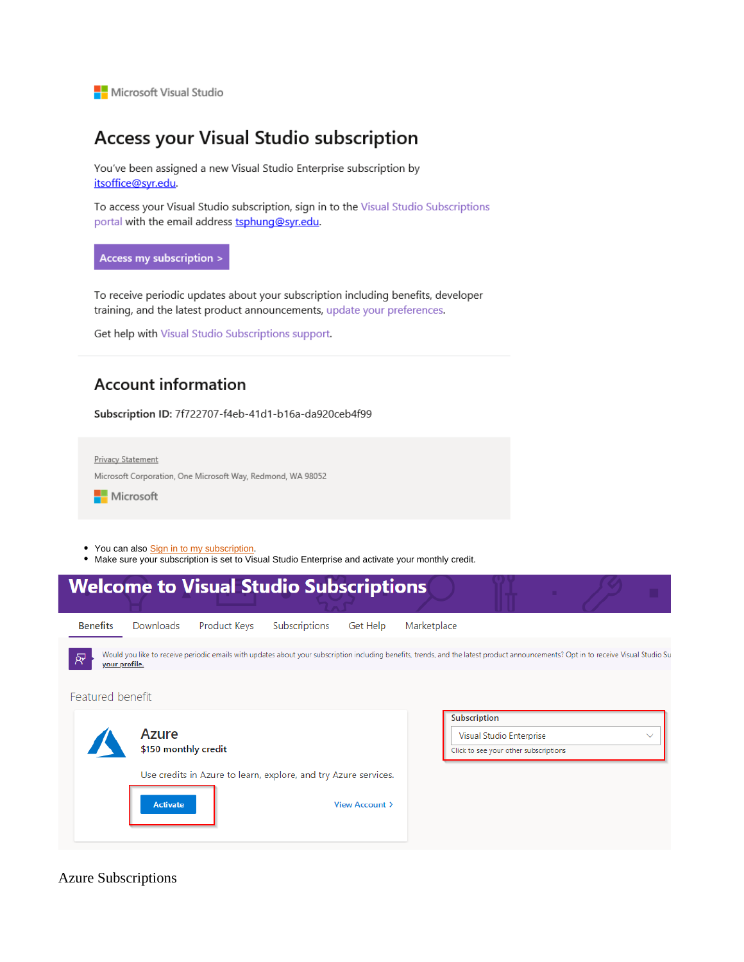Microsoft Visual Studio

## Access your Visual Studio subscription

You've been assigned a new Visual Studio Enterprise subscription by itsoffice@syr.edu.

To access your Visual Studio subscription, sign in to the Visual Studio Subscriptions portal with the email address tsphung@syr.edu.

### Access my subscription >

To receive periodic updates about your subscription including benefits, developer training, and the latest product announcements, update your preferences.

Get help with Visual Studio Subscriptions support.

## **Account information**

Subscription ID: 7f722707-f4eb-41d1-b16a-da920ceb4f99



- You can also Sign in to my subscription.
- . Make sure your subscription is set to Visual Studio Enterprise and activate your monthly credit.

|                       |                               | <b>Welcome to Visual Studio Subscriptions</b>                                                                                                                                       |               |                |                                                                                                   |  |  |  |  |  |
|-----------------------|-------------------------------|-------------------------------------------------------------------------------------------------------------------------------------------------------------------------------------|---------------|----------------|---------------------------------------------------------------------------------------------------|--|--|--|--|--|
| <b>Benefits</b>       | Downloads                     | Product Keys                                                                                                                                                                        | Subscriptions | Get Help       | Marketplace                                                                                       |  |  |  |  |  |
| ਕ੍ਰਾ<br>your profile. |                               | Would you like to receive periodic emails with updates about your subscription including benefits, trends, and the latest product announcements? Opt in to receive Visual Studio Su |               |                |                                                                                                   |  |  |  |  |  |
| Featured benefit      |                               |                                                                                                                                                                                     |               |                |                                                                                                   |  |  |  |  |  |
|                       | Azure<br>\$150 monthly credit |                                                                                                                                                                                     |               |                | Subscription<br>Visual Studio Enterprise<br>$\checkmark$<br>Click to see your other subscriptions |  |  |  |  |  |
|                       |                               | Use credits in Azure to learn, explore, and try Azure services.                                                                                                                     |               |                |                                                                                                   |  |  |  |  |  |
|                       | <b>Activate</b>               |                                                                                                                                                                                     |               | View Account > |                                                                                                   |  |  |  |  |  |

<span id="page-1-0"></span>**Azure Subscriptions**